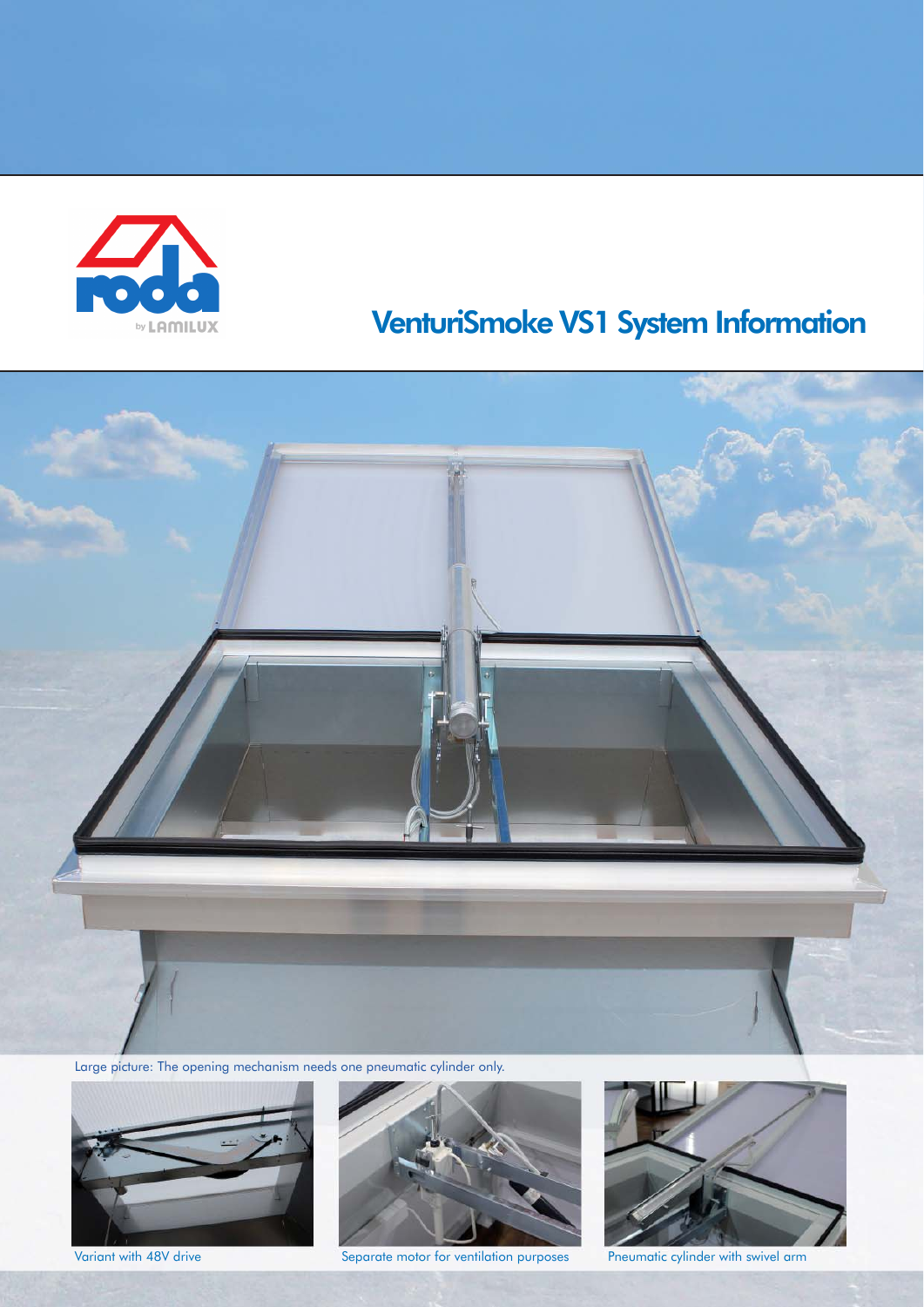

# VenturiSmoke VS1 System Information



Large picture: The opening mechanism needs one pneumatic cylinder only.





Variant with 48V drive Separate motor for ventilation purposes Pneumatic cylinder with swivel arm

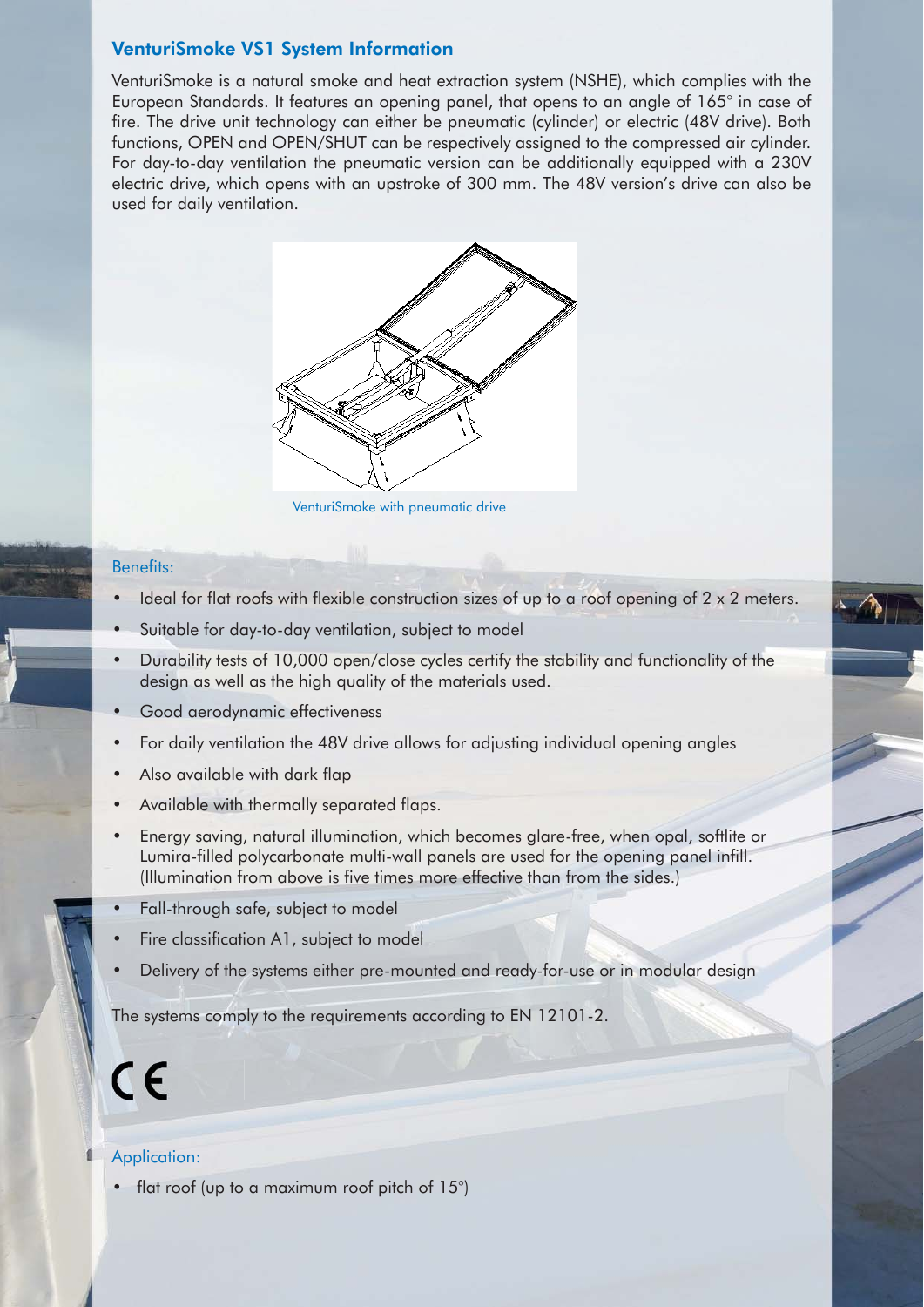#### VenturiSmoke VS1 System Information

VenturiSmoke is a natural smoke and heat extraction system (NSHE), which complies with the European Standards. It features an opening panel, that opens to an angle of 165° in case of fire. The drive unit technology can either be pneumatic (cylinder) or electric (48V drive). Both functions, OPEN and OPEN/SHUT can be respectively assigned to the compressed air cylinder. For day-to-day ventilation the pneumatic version can be additionally equipped with a 230V electric drive, which opens with an upstroke of 300 mm. The 48V version's drive can also be used for daily ventilation.



VenturiSmoke with pneumatic drive

#### Benefits:

- Ideal for flat roofs with flexible construction sizes of up to a roof opening of 2 x 2 meters.
- Suitable for day-to-day ventilation, subject to model
- Durability tests of 10,000 open/close cycles certify the stability and functionality of the design as well as the high quality of the materials used.
- Good aerodynamic effectiveness
- For daily ventilation the 48V drive allows for adjusting individual opening angles
- Also available with dark flap
- Available with thermally separated flaps.
- Energy saving, natural illumination, which becomes glare-free, when opal, softlite or Lumira-filled polycarbonate multi-wall panels are used for the opening panel infill. (Illumination from above is five times more effective than from the sides.)
- Fall-through safe, subject to model
- Fire classification A1, subject to model
- Delivery of the systems either pre-mounted and ready-for-use or in modular design

The systems comply to the requirements according to EN 12101-2.

# $\epsilon$

#### Application:

• flat roof (up to a maximum roof pitch of 15°)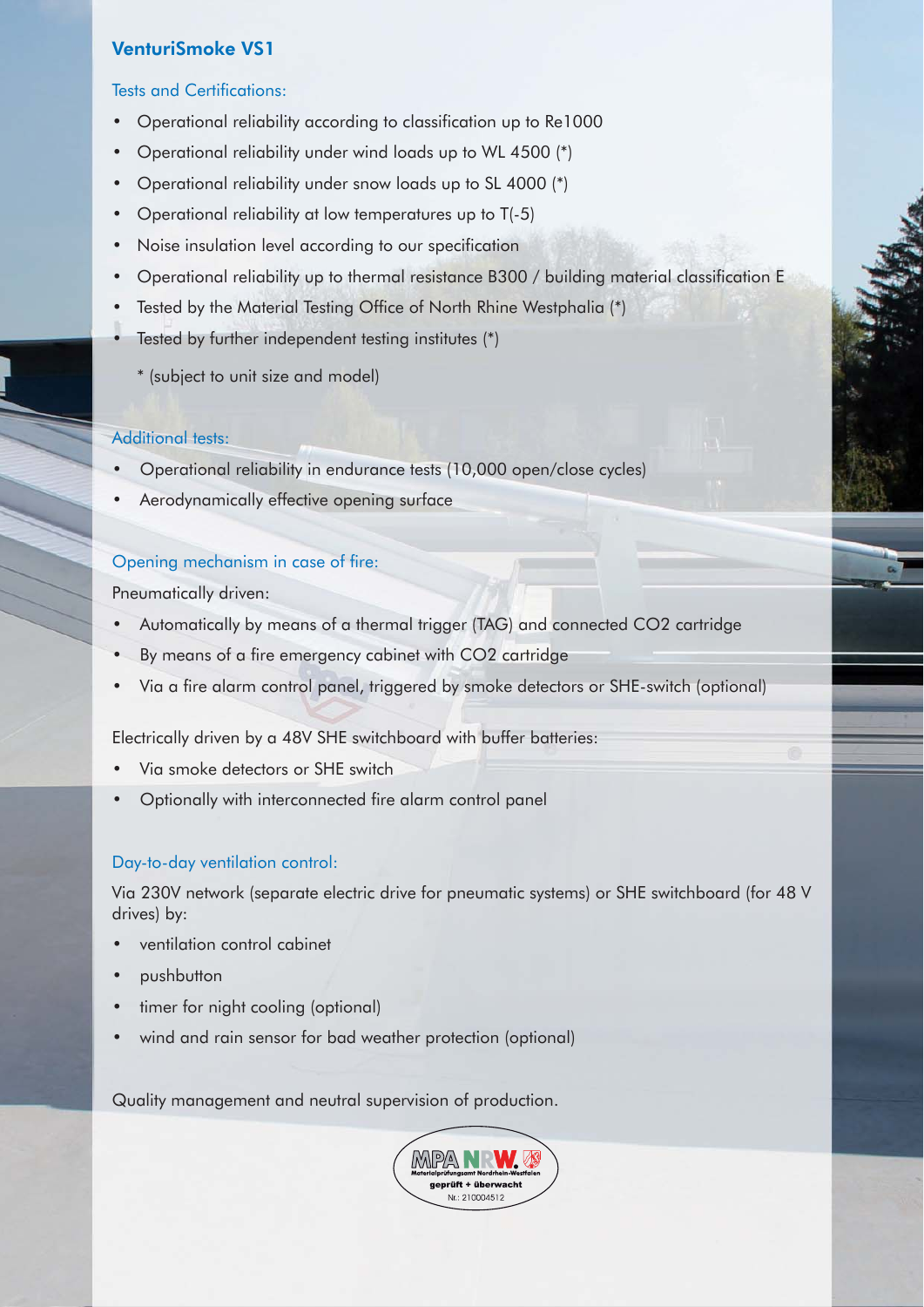# VenturiSmoke VS1

#### Tests and Certifications:

- Operational reliability according to classification up to Re1000
- Operational reliability under wind loads up to WL 4500 (\*)
- Operational reliability under snow loads up to SL 4000 (\*)
- Operational reliability at low temperatures up to T(-5)
- Noise insulation level according to our specification
- Operational reliability up to thermal resistance B300 / building material classification E
- Tested by the Material Testing Office of North Rhine Westphalia (\*)
- Tested by further independent testing institutes (\*)
	- \* (subject to unit size and model)

#### Additional tests:

- Operational reliability in endurance tests (10,000 open/close cycles)
- Aerodynamically effective opening surface

#### Opening mechanism in case of fire:

Pneumatically driven:

- Automatically by means of a thermal trigger (TAG) and connected CO2 cartridge
- By means of a fire emergency cabinet with CO2 cartridge
- Via a fire alarm control panel, triggered by smoke detectors or SHE-switch (optional)

Electrically driven by a 48V SHE switchboard with buffer batteries:

- Via smoke detectors or SHE switch
- Optionally with interconnected fire alarm control panel

#### Day-to-day ventilation control:

Via 230V network (separate electric drive for pneumatic systems) or SHE switchboard (for 48 V drives) by:

- ventilation control cabinet
- pushbutton
- timer for night cooling (optional)
- wind and rain sensor for bad weather protection (optional)

Quality management and neutral supervision of production.